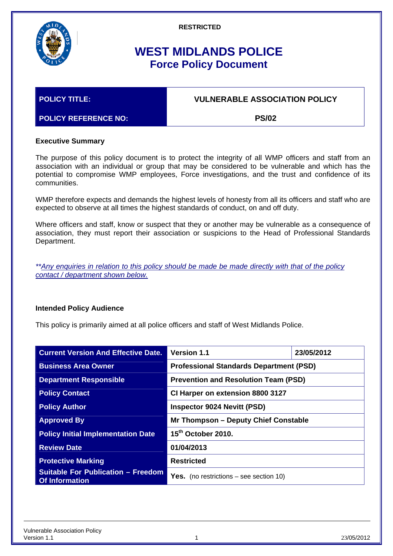

# **WEST MIDLANDS POLICE Force Policy Document**

## **POLICY TITLE: VULNERABLE ASSOCIATION POLICY**

## **POLICY REFERENCE NO: PS/02**

## **Executive Summary**

The purpose of this policy document is to protect the integrity of all WMP officers and staff from an association with an individual or group that may be considered to be vulnerable and which has the potential to compromise WMP employees, Force investigations, and the trust and confidence of its communities.

WMP therefore expects and demands the highest levels of honesty from all its officers and staff who are expected to observe at all times the highest standards of conduct, on and off duty.

Where officers and staff, know or suspect that they or another may be vulnerable as a consequence of association, they must report their association or suspicions to the Head of Professional Standards Department.

*\*\*Any enquiries in relation to this policy should be made be made directly with that of the policy contact / department shown below.*

## **Intended Policy Audience**

This policy is primarily aimed at all police officers and staff of West Midlands Police.

| <b>Current Version And Effective Date.</b>                         | <b>Version 1.1</b>                               | 23/05/2012 |  |
|--------------------------------------------------------------------|--------------------------------------------------|------------|--|
| <b>Business Area Owner</b>                                         | <b>Professional Standards Department (PSD)</b>   |            |  |
| <b>Department Responsible</b>                                      | <b>Prevention and Resolution Team (PSD)</b>      |            |  |
| <b>Policy Contact</b>                                              | CI Harper on extension 8800 3127                 |            |  |
| <b>Policy Author</b>                                               | <b>Inspector 9024 Nevitt (PSD)</b>               |            |  |
| <b>Approved By</b>                                                 | Mr Thompson - Deputy Chief Constable             |            |  |
| <b>Policy Initial Implementation Date</b>                          | 15 <sup>th</sup> October 2010.                   |            |  |
| <b>Review Date</b>                                                 | 01/04/2013                                       |            |  |
| <b>Protective Marking</b>                                          | <b>Restricted</b>                                |            |  |
| <b>Suitable For Publication - Freedom</b><br><b>Of Information</b> | <b>Yes.</b> (no restrictions $-$ see section 10) |            |  |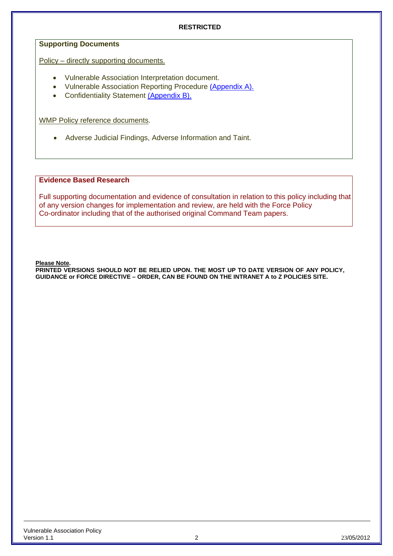#### **Supporting Documents**

Policy – directly supporting documents.

- Vulnerable Association Interpretation document.
- Vulnerable Association Reporting Procedure [\(Appendix A\).](#page-11-0)
- Confidentiality Statement [\(Appendix B\).](#page-12-0)

<span id="page-1-0"></span>WMP Policy reference documents.

Adverse Judicial Findings, Adverse Information and Taint.

### **Evidence Based Research**

Full supporting documentation and evidence of consultation in relation to this policy including that of any version changes for implementation and review, are held with the Force Policy Co-ordinator including that of the authorised original Command Team papers.

**Please Note.** 

**PRINTED VERSIONS SHOULD NOT BE RELIED UPON. THE MOST UP TO DATE VERSION OF ANY POLICY, GUIDANCE or FORCE DIRECTIVE – ORDER, CAN BE FOUND ON THE INTRANET A to Z POLICIES SITE.**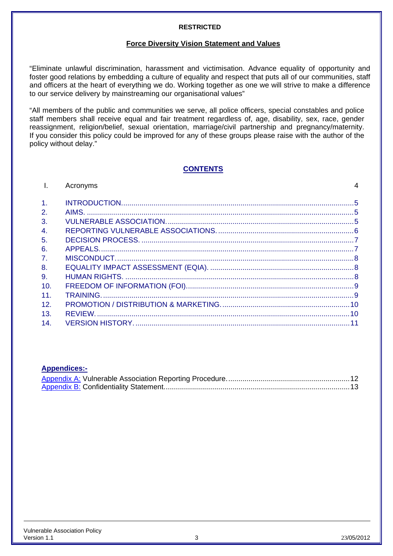#### **Force Diversity Vision Statement and Values**

"Eliminate unlawful discrimination, harassment and victimisation. Advance equality of opportunity and foster good relations by embedding a culture of equality and respect that puts all of our communities, staff and officers at the heart of everything we do. Working together as one we will strive to make a difference to our service delivery by mainstreaming our organisational values"

"All members of the public and communities we serve, all police officers, special constables and police staff members shall receive equal and fair treatment regardless of, age, disability, sex, race, gender reassignment, religion/belief, sexual orientation, marriage/civil partnership and pregnancy/maternity. If you consider this policy could be improved for any of these groups please raise with the author of the policy without delay."

#### **CONTENTS**

|                 | Acronyms | 4 |
|-----------------|----------|---|
| 1.              |          |   |
| 2.              |          |   |
| 3.              |          |   |
| $\mathbf{4}$    |          |   |
| 5.              |          |   |
| 6.              |          |   |
| $\mathbf{7}$ .  |          |   |
| 8.              |          |   |
| 9.              |          |   |
| 10.             |          |   |
| 11 <sub>1</sub> |          |   |
| 12.             |          |   |
| 13.             |          |   |
| 14.             |          |   |

### **Appendices:-**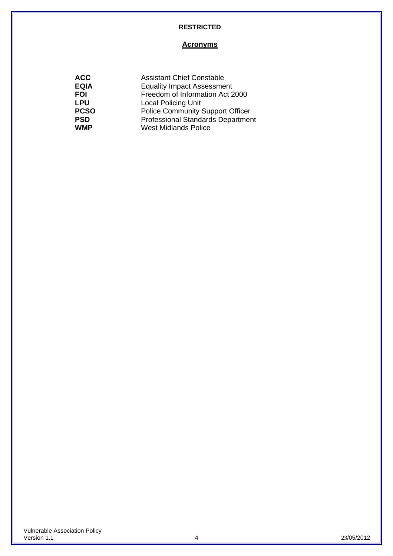#### **Acronyms**

| <b>ACC</b>  | <b>Assistant Chief Constable</b>         |
|-------------|------------------------------------------|
| <b>EQIA</b> | <b>Equality Impact Assessment</b>        |
| <b>FOI</b>  | Freedom of Information Act 2000          |
| <b>LPU</b>  | <b>Local Policing Unit</b>               |
| <b>PCSO</b> | <b>Police Community Support Officer</b>  |
| <b>PSD</b>  | <b>Professional Standards Department</b> |
| <b>WMP</b>  | <b>West Midlands Police</b>              |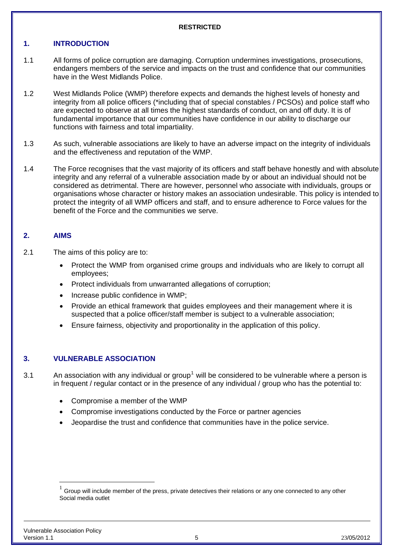## <span id="page-4-0"></span>**1. INTRODUCTION**

- 1.1 All forms of police corruption are damaging. Corruption undermines investigations, prosecutions, endangers members of the service and impacts on the trust and confidence that our communities have in the West Midlands Police.
- 1.2 West Midlands Police (WMP) therefore expects and demands the highest levels of honesty and integrity from all police officers (\*including that of special constables / PCSOs) and police staff who are expected to observe at all times the highest standards of conduct, on and off duty. It is of fundamental importance that our communities have confidence in our ability to discharge our functions with fairness and total impartiality.
- 1.3 As such, vulnerable associations are likely to have an adverse impact on the integrity of individuals and the effectiveness and reputation of the WMP.
- 1.4 The Force recognises that the vast majority of its officers and staff behave honestly and with absolute integrity and any referral of a vulnerable association made by or about an individual should not be considered as detrimental. There are however, personnel who associate with individuals, groups or organisations whose character or history makes an association undesirable. This policy is intended to protect the integrity of all WMP officers and staff, and to ensure adherence to Force values for the benefit of the Force and the communities we serve.

## <span id="page-4-1"></span>**2. AIMS**

- 2.1 The aims of this policy are to:
	- Protect the WMP from organised crime groups and individuals who are likely to corrupt all employees;
	- Protect individuals from unwarranted allegations of corruption;
	- Increase public confidence in WMP:
	- Provide an ethical framework that guides employees and their management where it is suspected that a police officer/staff member is subject to a vulnerable association;
	- Ensure fairness, objectivity and proportionality in the application of this policy.

## <span id="page-4-2"></span>**3. VULNERABLE ASSOCIATION**

- 3.[1](#page-4-3) An association with any individual or group<sup>1</sup> will be considered to be vulnerable where a person is in frequent / regular contact or in the presence of any individual / group who has the potential to:
	- Compromise a member of the WMP
	- Compromise investigations conducted by the Force or partner agencies
	- Jeopardise the trust and confidence that communities have in the police service.

 $\overline{a}$ 

<span id="page-4-3"></span>Group will include member of the press, private detectives their relations or any one connected to any other Social media outlet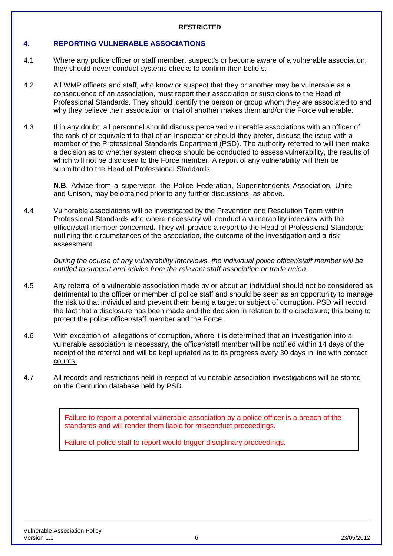### <span id="page-5-0"></span>**4. REPORTING VULNERABLE ASSOCIATIONS**

- 4.1 Where any police officer or staff member, suspect's or become aware of a vulnerable association, they should never conduct systems checks to confirm their beliefs.
- 4.2 All WMP officers and staff, who know or suspect that they or another may be vulnerable as a consequence of an association, must report their association or suspicions to the Head of Professional Standards. They should identify the person or group whom they are associated to and why they believe their association or that of another makes them and/or the Force vulnerable.
- 4.3 If in any doubt, all personnel should discuss perceived vulnerable associations with an officer of the rank of or equivalent to that of an Inspector or should they prefer, discuss the issue with a member of the Professional Standards Department (PSD). The authority referred to will then make a decision as to whether system checks should be conducted to assess vulnerability, the results of which will not be disclosed to the Force member. A report of any vulnerability will then be submitted to the Head of Professional Standards.

**N.B**. Advice from a supervisor, the Police Federation, Superintendents Association, Unite and Unison, may be obtained prior to any further discussions, as above.

4.4 Vulnerable associations will be investigated by the Prevention and Resolution Team within Professional Standards who where necessary will conduct a vulnerability interview with the officer/staff member concerned. They will provide a report to the Head of Professional Standards outlining the circumstances of the association, the outcome of the investigation and a risk assessment.

*During the course of any vulnerability interviews, the individual police officer/staff member will be entitled to support and advice from the relevant staff association or trade union.* 

- 4.5 Any referral of a vulnerable association made by or about an individual should not be considered as detrimental to the officer or member of police staff and should be seen as an opportunity to manage the risk to that individual and prevent them being a target or subject of corruption. PSD will record the fact that a disclosure has been made and the decision in relation to the disclosure; this being to protect the police officer/staff member and the Force.
- 4.6 With exception of allegations of corruption, where it is determined that an investigation into a vulnerable association is necessary, the officer/staff member will be notified within 14 days of the receipt of the referral and will be kept updated as to its progress every 30 days in line with contact counts.
- 4.7 All records and restrictions held in respect of vulnerable association investigations will be stored on the Centurion database held by PSD.

Failure to report a potential vulnerable association by a police officer is a breach of the standards and will render them liable for misconduct proceedings.

Failure of police staff to report would trigger disciplinary proceedings.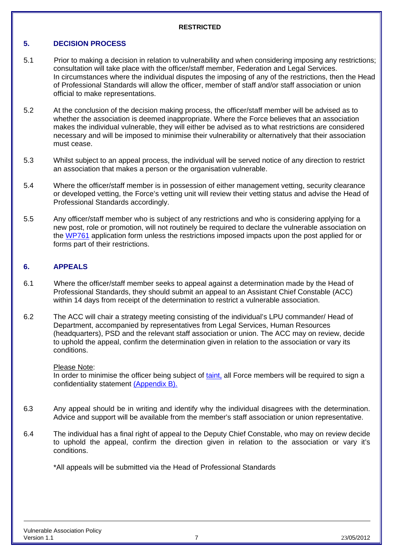## <span id="page-6-0"></span>**5. DECISION PROCESS**

- 5.1 Prior to making a decision in relation to vulnerability and when considering imposing any restrictions; consultation will take place with the officer/staff member, Federation and Legal Services. In circumstances where the individual disputes the imposing of any of the restrictions, then the Head of Professional Standards will allow the officer, member of staff and/or staff association or union official to make representations.
- 5.2 At the conclusion of the decision making process, the officer/staff member will be advised as to whether the association is deemed inappropriate. Where the Force believes that an association makes the individual vulnerable, they will either be advised as to what restrictions are considered necessary and will be imposed to minimise their vulnerability or alternatively that their association must cease.
- 5.3 Whilst subject to an appeal process, the individual will be served notice of any direction to restrict an association that makes a person or the organisation vulnerable.
- 5.4 Where the officer/staff member is in possession of either management vetting, security clearance or developed vetting, the Force's vetting unit will review their vetting status and advise the Head of Professional Standards accordingly.
- 5.5 Any officer/staff member who is subject of any restrictions and who is considering applying for a new post, role or promotion, will not routinely be required to declare the vulnerable association on the [WP761](http://apps/standardforms/files/WP761.DOT) application form unless the restrictions imposed impacts upon the post applied for or forms part of their restrictions.

## <span id="page-6-1"></span>**6. APPEALS**

- 6.1 Where the officer/staff member seeks to appeal against a determination made by the Head of Professional Standards, they should submit an appeal to an Assistant Chief Constable (ACC) within 14 days from receipt of the determination to restrict a vulnerable association.
- 6.2 The ACC will chair a strategy meeting consisting of the individual's LPU commander/ Head of Department, accompanied by representatives from Legal Services, Human Resources (headquarters), PSD and the relevant staff association or union. The ACC may on review, decide to uphold the appeal, confirm the determination given in relation to the association or vary its conditions.

#### Please Note:

In order to minimise the officer being subject of [taint,](#page-1-0) all Force members will be required to sign a confidentiality statement [\(Appendix B\).](#page-12-0)

- 6.3 Any appeal should be in writing and identify why the individual disagrees with the determination. Advice and support will be available from the member's staff association or union representative.
- 6.4 The individual has a final right of appeal to the Deputy Chief Constable, who may on review decide to uphold the appeal, confirm the direction given in relation to the association or vary it's conditions.

\*All appeals will be submitted via the Head of Professional Standards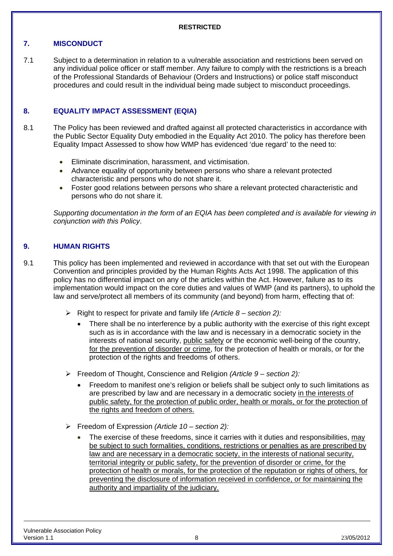## <span id="page-7-0"></span>**7. MISCONDUCT**

7.1 Subject to a determination in relation to a vulnerable association and restrictions been served on any individual police officer or staff member. Any failure to comply with the restrictions is a breach of the Professional Standards of Behaviour (Orders and Instructions) or police staff misconduct procedures and could result in the individual being made subject to misconduct proceedings.

## <span id="page-7-1"></span>**8. EQUALITY IMPACT ASSESSMENT (EQIA)**

- 8.1 The Policy has been reviewed and drafted against all protected characteristics in accordance with the Public Sector Equality Duty embodied in the Equality Act 2010. The policy has therefore been Equality Impact Assessed to show how WMP has evidenced 'due regard' to the need to:
	- Eliminate discrimination, harassment, and victimisation.
	- Advance equality of opportunity between persons who share a relevant protected characteristic and persons who do not share it.
	- Foster good relations between persons who share a relevant protected characteristic and persons who do not share it.

*Supporting documentation in the form of an EQIA has been completed and is available for viewing in conjunction with this Policy*.

## <span id="page-7-2"></span>**9. HUMAN RIGHTS**

- 9.1 This policy has been implemented and reviewed in accordance with that set out with the European Convention and principles provided by the Human Rights Acts Act 1998. The application of this policy has no differential impact on any of the articles within the Act. However, failure as to its implementation would impact on the core duties and values of WMP (and its partners), to uphold the law and serve/protect all members of its community (and beyond) from harm, effecting that of:
	- Right to respect for private and family life *(Article 8 section 2):*
		- There shall be no interference by a public authority with the exercise of this right except such as is in accordance with the law and is necessary in a democratic society in the interests of national security, public safety or the economic well-being of the country, for the prevention of disorder or crime, for the protection of health or morals, or for the protection of the rights and freedoms of others.
	- Freedom of Thought, Conscience and Religion *(Article 9 section 2):*
		- Freedom to manifest one's religion or beliefs shall be subject only to such limitations as are prescribed by law and are necessary in a democratic society in the interests of public safety, for the protection of public order, health or morals, or for the protection of the rights and freedom of others.
	- Freedom of Expression *(Article 10 section 2):*
		- The exercise of these freedoms, since it carries with it duties and responsibilities, may be subject to such formalities, conditions, restrictions or penalties as are prescribed by law and are necessary in a democratic society, in the interests of national security, territorial integrity or public safety, for the prevention of disorder or crime, for the protection of health or morals, for the protection of the reputation or rights of others, for preventing the disclosure of information received in confidence, or for maintaining the authority and impartiality of the judiciary.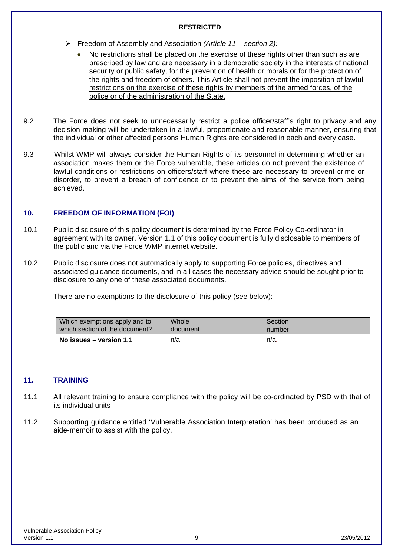- Freedom of Assembly and Association *(Article 11 section 2):*
	- No restrictions shall be placed on the exercise of these rights other than such as are prescribed by law and are necessary in a democratic society in the interests of national security or public safety, for the prevention of health or morals or for the protection of the rights and freedom of others. This Article shall not prevent the imposition of lawful restrictions on the exercise of these rights by members of the armed forces, of the police or of the administration of the State.
- 9.2 The Force does not seek to unnecessarily restrict a police officer/staff's right to privacy and any decision-making will be undertaken in a lawful, proportionate and reasonable manner, ensuring that the individual or other affected persons Human Rights are considered in each and every case.
- 9.3 Whilst WMP will always consider the Human Rights of its personnel in determining whether an association makes them or the Force vulnerable, these articles do not prevent the existence of lawful conditions or restrictions on officers/staff where these are necessary to prevent crime or disorder, to prevent a breach of confidence or to prevent the aims of the service from being achieved.

## <span id="page-8-0"></span>**10. FREEDOM OF INFORMATION (FOI)**

- 10.1 Public disclosure of this policy document is determined by the Force Policy Co-ordinator in agreement with its owner. Version 1.1 of this policy document is fully disclosable to members of the public and via the Force WMP internet website.
- 10.2 Public disclosure does not automatically apply to supporting Force policies, directives and associated guidance documents, and in all cases the necessary advice should be sought prior to disclosure to any one of these associated documents.

There are no exemptions to the disclosure of this policy (see below):-

| Which exemptions apply and to  | Whole    | Section |
|--------------------------------|----------|---------|
| which section of the document? | document | number  |
| No issues – version 1.1        | n/a      | n/a.    |

## <span id="page-8-1"></span>**11. TRAINING**

- 11.1 All relevant training to ensure compliance with the policy will be co-ordinated by PSD with that of its individual units
- 11.2 Supporting guidance entitled 'Vulnerable Association Interpretation' has been produced as an aide-memoir to assist with the policy.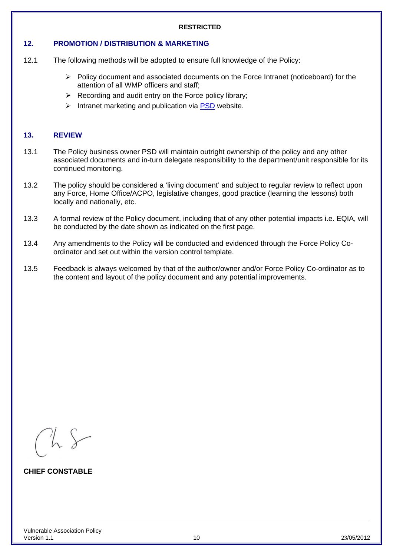## <span id="page-9-0"></span>**12. PROMOTION / DISTRIBUTION & MARKETING**

- 12.1 The following methods will be adopted to ensure full knowledge of the Policy:
	- Policy document and associated documents on the Force Intranet (noticeboard) for the attention of all WMP officers and staff;
	- $\triangleright$  Recording and audit entry on the Force policy library;
	- Intranet marketing and publication via [PSD](http://intranet2/hq_departments/professional_standards.aspx) website.

## <span id="page-9-1"></span>**13. REVIEW**

- 13.1 The Policy business owner PSD will maintain outright ownership of the policy and any other associated documents and in-turn delegate responsibility to the department/unit responsible for its continued monitoring.
- 13.2 The policy should be considered a 'living document' and subject to regular review to reflect upon any Force, Home Office/ACPO, legislative changes, good practice (learning the lessons) both locally and nationally, etc.
- 13.3 A formal review of the Policy document, including that of any other potential impacts i.e. EQIA, will be conducted by the date shown as indicated on the first page.
- 13.4 Any amendments to the Policy will be conducted and evidenced through the Force Policy Coordinator and set out within the version control template.
- 13.5 Feedback is always welcomed by that of the author/owner and/or Force Policy Co-ordinator as to the content and layout of the policy document and any potential improvements.

**CHIEF CONSTABLE**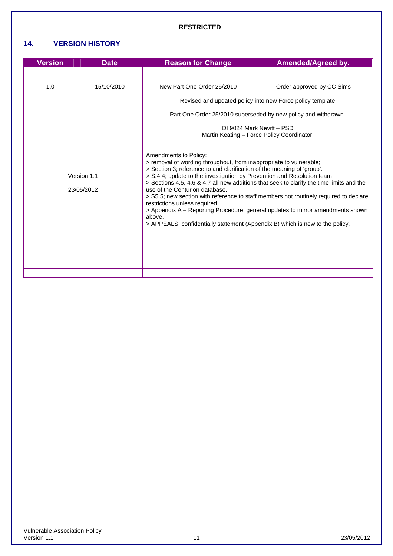## <span id="page-10-0"></span>**14. VERSION HISTORY**

| <b>Version</b>            | <b>Date</b> | <b>Reason for Change</b>                                                                                                                                                                                                                                                                                                                                                                                                                                                                                 | <b>Amended/Agreed by.</b>                                                                                                                                               |
|---------------------------|-------------|----------------------------------------------------------------------------------------------------------------------------------------------------------------------------------------------------------------------------------------------------------------------------------------------------------------------------------------------------------------------------------------------------------------------------------------------------------------------------------------------------------|-------------------------------------------------------------------------------------------------------------------------------------------------------------------------|
| 1.0                       | 15/10/2010  | New Part One Order 25/2010                                                                                                                                                                                                                                                                                                                                                                                                                                                                               | Order approved by CC Sims                                                                                                                                               |
|                           |             | Revised and updated policy into new Force policy template                                                                                                                                                                                                                                                                                                                                                                                                                                                |                                                                                                                                                                         |
|                           |             | Part One Order 25/2010 superseded by new policy and withdrawn.                                                                                                                                                                                                                                                                                                                                                                                                                                           |                                                                                                                                                                         |
|                           |             | DI 9024 Mark Nevitt - PSD<br>Martin Keating - Force Policy Coordinator.                                                                                                                                                                                                                                                                                                                                                                                                                                  |                                                                                                                                                                         |
| Version 1.1<br>23/05/2012 |             | Amendments to Policy:<br>> removal of wording throughout, from inappropriate to vulnerable;<br>> Section 3; reference to and clarification of the meaning of 'group'.<br>> S.4.4; update to the investigation by Prevention and Resolution team<br>> Sections 4.5, 4.6 & 4.7 all new additions that seek to clarify the time limits and the<br>use of the Centurion database.<br>restrictions unless required.<br>above.<br>> APPEALS; confidentially statement (Appendix B) which is new to the policy. | > S5.5; new section with reference to staff members not routinely required to declare<br>> Appendix A - Reporting Procedure; general updates to mirror amendments shown |
|                           |             |                                                                                                                                                                                                                                                                                                                                                                                                                                                                                                          |                                                                                                                                                                         |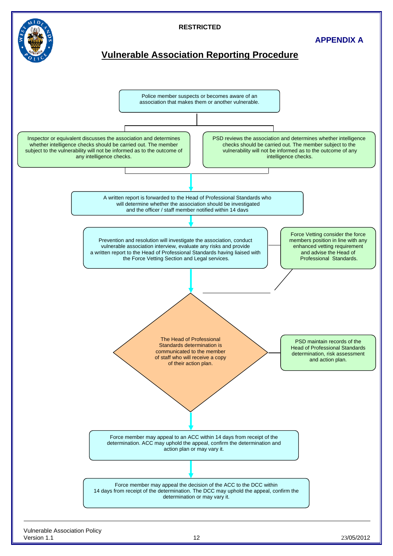<span id="page-11-0"></span>